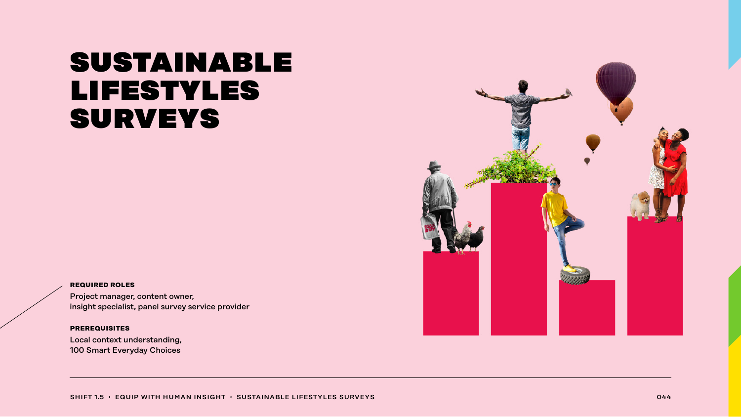## sustainable lifestyles surveys

#### **required roles**

Project manager, content owner, insight specialist, panel survey service provider

#### **prerequisites**

Local context understanding, 100 Smart Everyday Choices

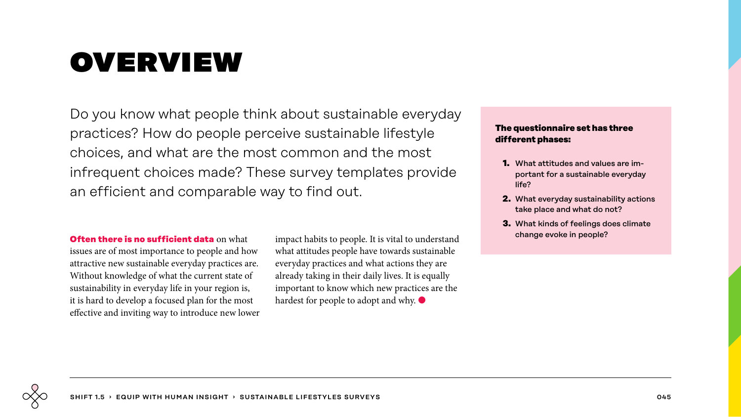# overview

Do you know what people think about sustainable everyday practices? How do people perceive sustainable lifestyle choices, and what are the most common and the most infrequent choices made? These survey templates provide an efficient and comparable way to find out.

**Often there is no sufficient data** on what issues are of most importance to people and how attractive new sustainable everyday practices are. Without knowledge of what the current state of sustainability in everyday life in your region is, it is hard to develop a focused plan for the most effective and inviting way to introduce new lower impact habits to people. It is vital to understand what attitudes people have towards sustainable everyday practices and what actions they are already taking in their daily lives. It is equally important to know which new practices are the hardest for people to adopt and why. ●

### **The questionnaire set has three different phases:**

- **1.** What attitudes and values are important for a sustainable everyday life?
- **2.** What everyday sustainability actions take place and what do not?
- **3.** What kinds of feelings does climate change evoke in people?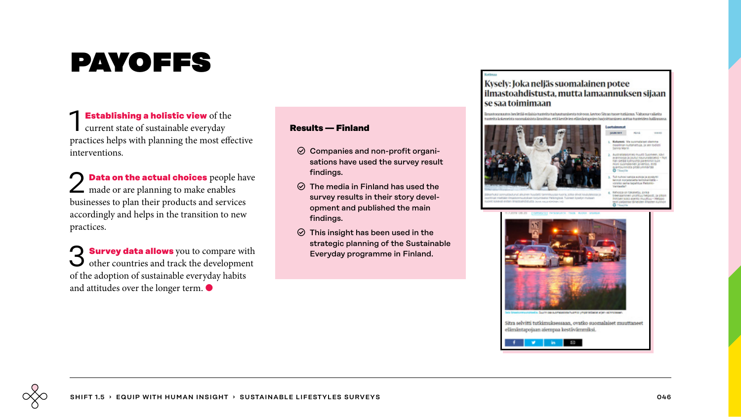# payoffs

**Establishing a holistic view** of the current state of sustainable everyday practices helps with planning the most effective interventions.

2 **Data on the actual choices** people have made or are planning to make enables businesses to plan their products and services accordingly and helps in the transition to new practices.

**3 Survey data allows** you to compare with other countries and track the development of the adoption of sustainable everyday habits and attitudes over the longer term.  $\bullet$ 

#### **Results — Finland**

- $\odot$  Companies and non-profit organisations have used the survey result findings.
- $\odot$  The media in Finland has used the survey results in their story development and published the main findings.
- $\odot$  This insight has been used in the strategic planning of the Sustainable Everyday programme in Finland.

### Kysely: Joka neljäs suomalainen potee ilmastoahdistusta, mutta lamaannuksen sijaan se saa toimimaan

Imastosamuutos berättää erilaisia tunteita turkautumisesta toivoon, kestoo Sitran tuose tutkimus. Valtaosa vaikeita consider betweening covered drives iteratives, well barelician affirmly explain businiteerings are enoughbar tradition



allman kultahattuja, ja sen todio **Kona Mario** 

**NAMES OF SPOTS ASSESS** 

**Salarran Abbalden Disease** 

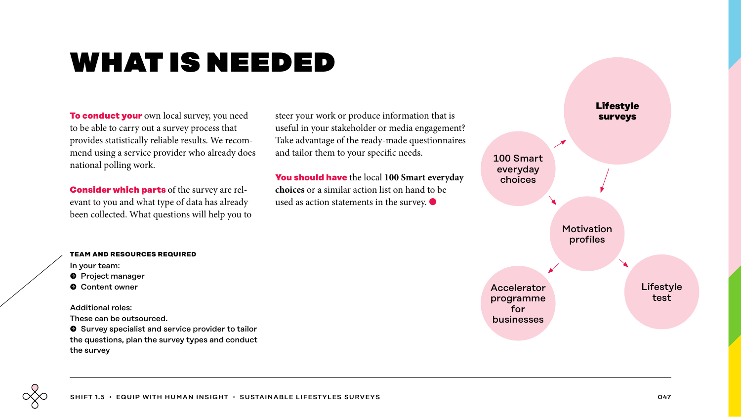## what is needed

**To conduct your** own local survey, you need to be able to carry out a survey process that provides statistically reliable results. We recommend using a service provider who already does national polling work.

**Consider which parts** of the survey are relevant to you and what type of data has already been collected. What questions will help you to steer your work or produce information that is useful in your stakeholder or media engagement? Take advantage of the ready-made questionnaires and tailor them to your specific needs.

**You should have** the local **100 Smart everyday choices** or a similar action list on hand to be used as action statements in the survey.  $\bullet$ 



#### **team and resources required**

- In your team:
- **O** Project manager
- **O** Content owner

Additional roles:

These can be outsourced.

 $\bullet$  Survey specialist and service provider to tailor the questions, plan the survey types and conduct the survey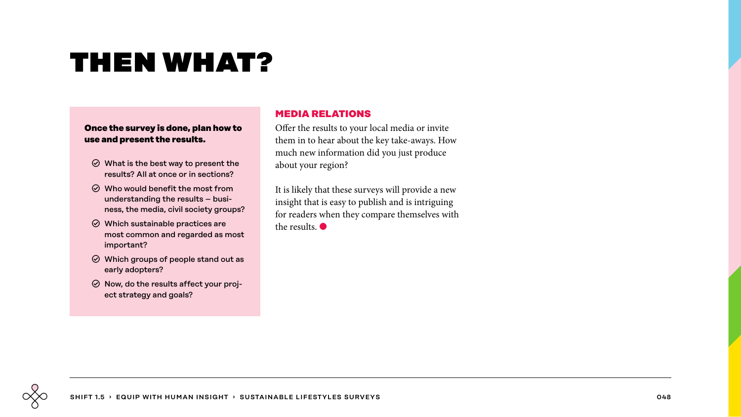# then what?

### **Once the survey is done, plan how to use and present the results.**

- $\odot$  What is the best way to present the results? All at once or in sections?
- $\odot$  Who would benefit the most from understanding the results – business, the media, civil society groups?
- $\odot$  Which sustainable practices are most common and regarded as most important?
- $\odot$  Which groups of people stand out as early adopters?
- $\odot$  Now, do the results affect your project strategy and goals?

## **MEDIA RELATIONS**

Offer the results to your local media or invite them in to hear about the key take-aways. How much new information did you just produce about your region?

It is likely that these surveys will provide a new insight that is easy to publish and is intriguing for readers when they compare themselves with the results. ●